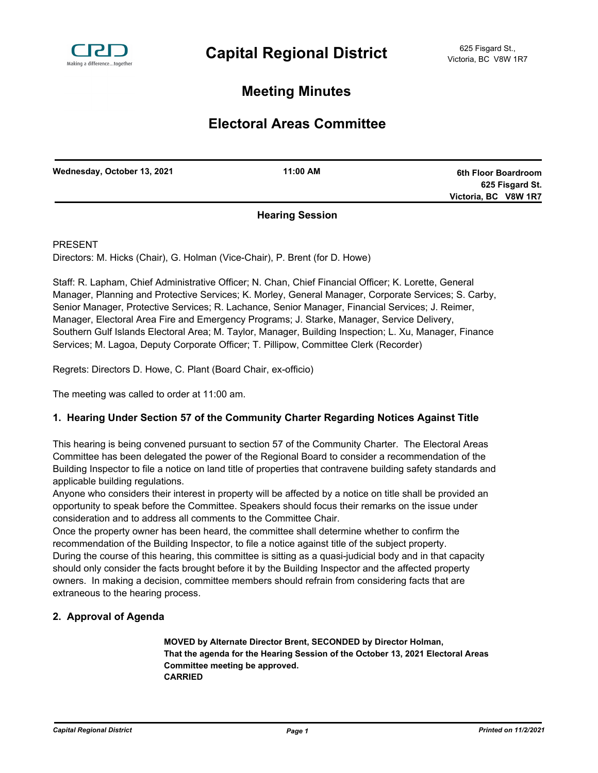

# **Meeting Minutes**

## **Electoral Areas Committee**

| Wednesday, October 13, 2021 | 11:00 AM        | 6th Floor Boardroom  |
|-----------------------------|-----------------|----------------------|
|                             |                 | 625 Fisgard St.      |
|                             |                 | Victoria, BC V8W 1R7 |
|                             | Haavina Caasian |                      |

### **Hearing Session**

PRESENT

Directors: M. Hicks (Chair), G. Holman (Vice-Chair), P. Brent (for D. Howe)

Staff: R. Lapham, Chief Administrative Officer; N. Chan, Chief Financial Officer; K. Lorette, General Manager, Planning and Protective Services; K. Morley, General Manager, Corporate Services; S. Carby, Senior Manager, Protective Services; R. Lachance, Senior Manager, Financial Services; J. Reimer, Manager, Electoral Area Fire and Emergency Programs; J. Starke, Manager, Service Delivery, Southern Gulf Islands Electoral Area; M. Taylor, Manager, Building Inspection; L. Xu, Manager, Finance Services; M. Lagoa, Deputy Corporate Officer; T. Pillipow, Committee Clerk (Recorder)

Regrets: Directors D. Howe, C. Plant (Board Chair, ex-officio)

The meeting was called to order at 11:00 am.

### **1. Hearing Under Section 57 of the Community Charter Regarding Notices Against Title**

This hearing is being convened pursuant to section 57 of the Community Charter. The Electoral Areas Committee has been delegated the power of the Regional Board to consider a recommendation of the Building Inspector to file a notice on land title of properties that contravene building safety standards and applicable building regulations.

Anyone who considers their interest in property will be affected by a notice on title shall be provided an opportunity to speak before the Committee. Speakers should focus their remarks on the issue under consideration and to address all comments to the Committee Chair.

Once the property owner has been heard, the committee shall determine whether to confirm the recommendation of the Building Inspector, to file a notice against title of the subject property. During the course of this hearing, this committee is sitting as a quasi-judicial body and in that capacity should only consider the facts brought before it by the Building Inspector and the affected property owners. In making a decision, committee members should refrain from considering facts that are extraneous to the hearing process.

### **2. Approval of Agenda**

**MOVED by Alternate Director Brent, SECONDED by Director Holman, That the agenda for the Hearing Session of the October 13, 2021 Electoral Areas Committee meeting be approved. CARRIED**